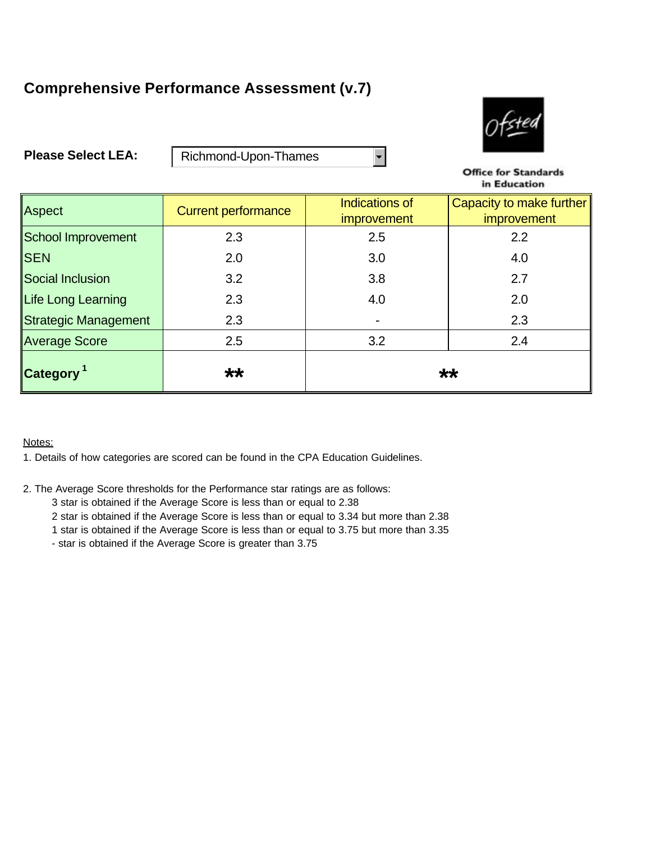## **Comprehensive Performance Assessment (v.7)**



**Please Select LEA:**

Richmond-Upon-Thames

**Office for Standards** in Education

| Aspect                           | <b>Current performance</b> | <b>Indications of</b><br><i>improvement</i> | Capacity to make further<br>improvement |
|----------------------------------|----------------------------|---------------------------------------------|-----------------------------------------|
| School Improvement               | 2.3                        | 2.5                                         | 2.2                                     |
| <b>SEN</b>                       | 2.0                        | 3.0                                         | 4.0                                     |
| Social Inclusion                 | 3.2                        | 3.8                                         | 2.7                                     |
| Life Long Learning               | 2.3                        | 4.0                                         | 2.0                                     |
| Strategic Management             | 2.3                        |                                             | 2.3                                     |
| Average Score                    | 2.5                        | 3.2                                         | 2.4                                     |
| $\sqrt{2}$ Category <sup>1</sup> | $\star\star$               | **                                          |                                         |

 $\blacksquare$ 

Notes:

1. Details of how categories are scored can be found in the CPA Education Guidelines.

2. The Average Score thresholds for the Performance star ratings are as follows:

3 star is obtained if the Average Score is less than or equal to 2.38

2 star is obtained if the Average Score is less than or equal to 3.34 but more than 2.38

1 star is obtained if the Average Score is less than or equal to 3.75 but more than 3.35

- star is obtained if the Average Score is greater than 3.75